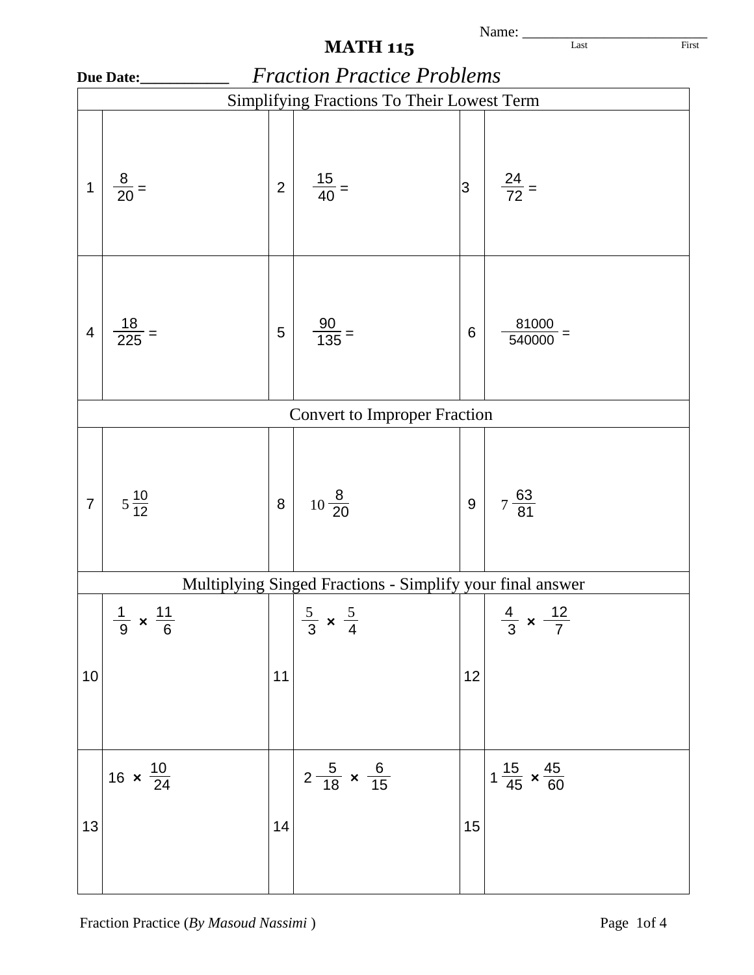|                                            | Name:                             |                |                                                           |                 |                                       |  |  |  |  |
|--------------------------------------------|-----------------------------------|----------------|-----------------------------------------------------------|-----------------|---------------------------------------|--|--|--|--|
|                                            |                                   |                | <b>MATH 115</b>                                           |                 | Last<br>First                         |  |  |  |  |
|                                            | Due Date:                         |                | <b>Fraction Practice Problems</b>                         |                 |                                       |  |  |  |  |
| Simplifying Fractions To Their Lowest Term |                                   |                |                                                           |                 |                                       |  |  |  |  |
| 1                                          | $\frac{8}{20}$ =                  | $\overline{2}$ | $\frac{15}{40}$ =                                         | 3               | $\frac{24}{72}$ =                     |  |  |  |  |
| $\overline{4}$                             | $\frac{18}{225}$ =                | 5              | $\frac{90}{135}$ =                                        | $6\phantom{1}6$ | 81000<br>540000                       |  |  |  |  |
|                                            |                                   |                | <b>Convert to Improper Fraction</b>                       |                 |                                       |  |  |  |  |
| $\overline{7}$                             | $5\frac{10}{12}$                  | 8              | $10\frac{8}{20}$                                          | $\overline{9}$  | $7\frac{63}{81}$                      |  |  |  |  |
|                                            |                                   |                | Multiplying Singed Fractions - Simplify your final answer |                 |                                       |  |  |  |  |
| 10                                         | $\frac{1}{9} \times \frac{11}{6}$ | 11             | $rac{5}{3} \times \frac{5}{4}$                            | 12              | $\frac{4}{3} \times \frac{12}{7}$     |  |  |  |  |
| 13                                         | 16 $\times \frac{10}{24}$         | 14             | $2\frac{5}{18} \times \frac{6}{15}$                       | 15              | $1\frac{15}{45} \times \frac{45}{60}$ |  |  |  |  |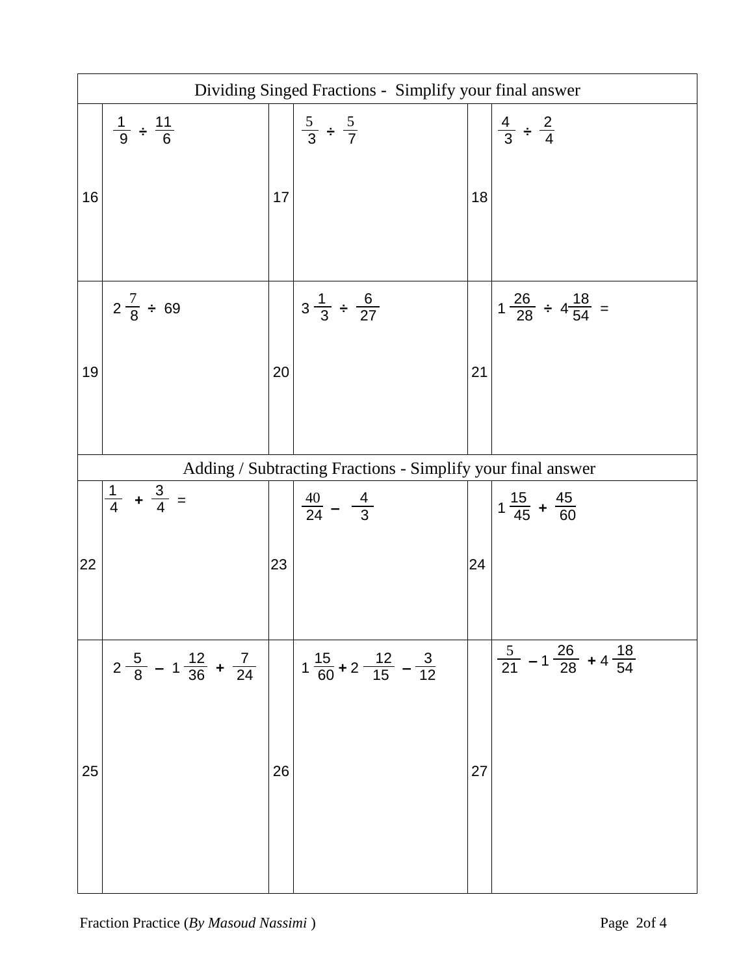| Dividing Singed Fractions - Simplify your final answer |                                                     |    |                                                             |    |                                                        |  |  |
|--------------------------------------------------------|-----------------------------------------------------|----|-------------------------------------------------------------|----|--------------------------------------------------------|--|--|
| 16                                                     | $\frac{1}{9} \div \frac{11}{6}$                     | 17 | $rac{5}{3} \div \frac{5}{7}$                                | 18 | $\frac{4}{3} \div \frac{2}{4}$                         |  |  |
| 19                                                     | $2\frac{7}{8} \div 69$                              | 20 | $3\frac{1}{3} \div \frac{6}{27}$                            | 21 | $1\frac{26}{28} \div 4\frac{18}{54} =$                 |  |  |
|                                                        |                                                     |    | Adding / Subtracting Fractions - Simplify your final answer |    |                                                        |  |  |
| 22                                                     | $\frac{1}{4}$ + $\frac{3}{4}$ =                     | 23 | $\frac{40}{24} - \frac{4}{3}$                               | 24 | $1\frac{15}{45} + \frac{45}{60}$                       |  |  |
| 25                                                     | $2\frac{5}{8}$ – 1 $\frac{12}{36}$ + $\frac{7}{24}$ | 26 | $1\frac{15}{60}$ + 2 $\frac{12}{15}$ – $\frac{3}{12}$       | 27 | $\frac{5}{21}$ - 1 $\frac{26}{28}$ + 4 $\frac{18}{54}$ |  |  |
|                                                        |                                                     |    |                                                             |    |                                                        |  |  |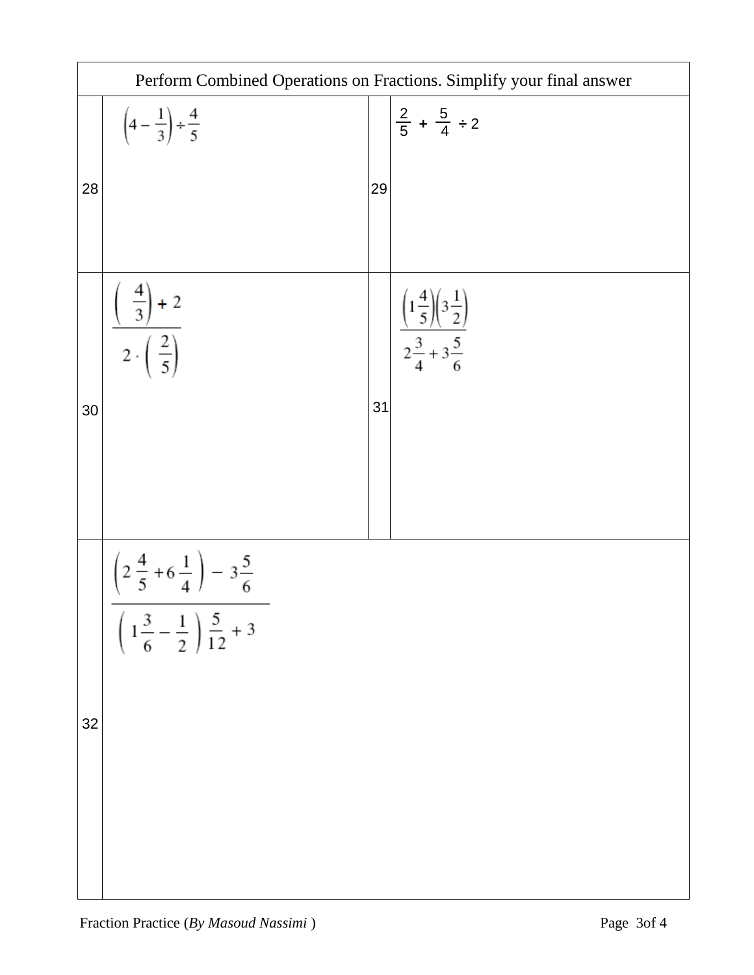